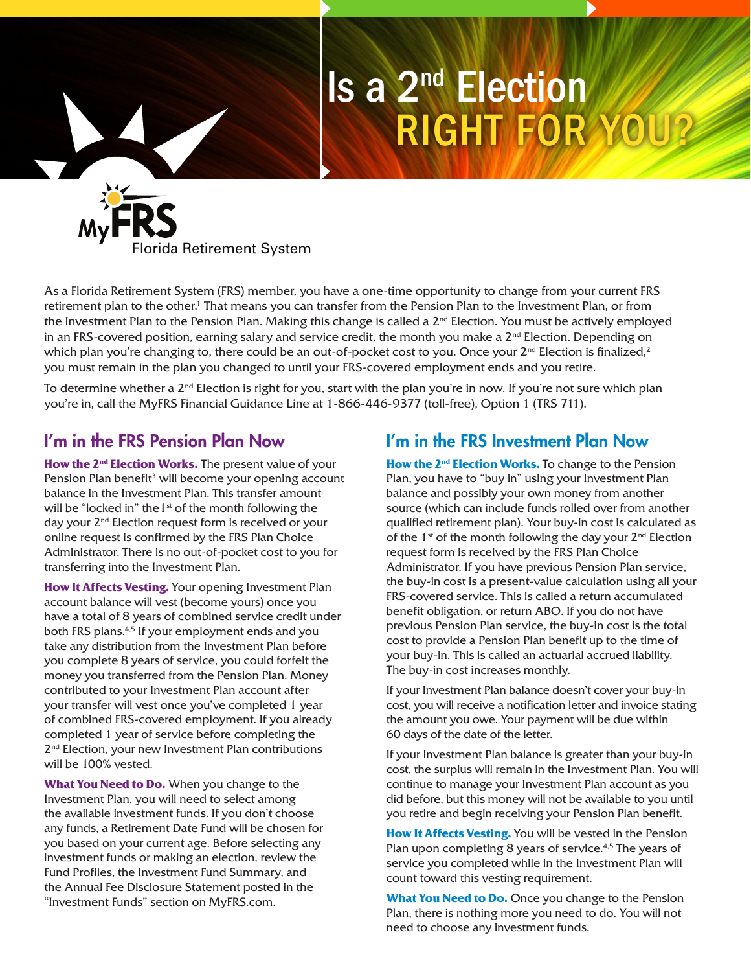# Is a 2nd Election RIGHT FOR YOU?



As a Florida Retirement System (FRS) member, you have a one-time opportunity to change from your current FRS retirement plan to the other.<sup>1</sup> That means you can transfer from the Pension Plan to the Investment Plan, or from the Investment Plan to the Pension Plan. Making this change is called a  $2^{nd}$  Election. You must be actively employed in an FRS-covered position, earning salary and service credit, the month you make a  $2^{nd}$  Election. Depending on which plan you're changing to, there could be an out-of-pocket cost to you. Once your  $2^{nd}$  Election is finalized,  $2^{2}$ you must remain in the plan you changed to until your FRS-covered employment ends and you retire.

To determine whether a  $2^{nd}$  Election is right for you, start with the plan you're in now. If you're not sure which plan you're in, call the MyFRS Financial Guidance Line at 1-866-446-9377 (toll-free), Option 1 (TRS 711).

## I'm in the FRS Pension Plan Now

How the 2<sup>nd</sup> Election Works. The present value of your Pension Plan benefit<sup>3</sup> will become your opening account balance in the Investment Plan. This transfer amount will be "locked in" the  $1<sup>st</sup>$  of the month following the day your 2<sup>nd</sup> Election request form is received or your online request is confirmed by the FRS Plan Choice Administrator. There is no out-of-pocket cost to you for transferring into the Investment Plan.

**How It Affects Vesting.** Your opening Investment Plan account balance will vest (become yours) once you have a total of 8 years of combined service credit under both FRS plans.4,5 If your employment ends and you take any distribution from the Investment Plan before you complete 8 years of service, you could forfeit the money you transferred from the Pension Plan. Money contributed to your Investment Plan account after your transfer will vest once you've completed 1 year of combined FRS-covered employment. If you already completed 1 year of service before completing the 2<sup>nd</sup> Election, your new Investment Plan contributions will be 100% vested.

**What You Need to Do.** When you change to the Investment Plan, you will need to select among the available investment funds. If you don't choose any funds, a Retirement Date Fund will be chosen for you based on your current age. Before selecting any investment funds or making an election, review the Fund Profiles, the Investment Fund Summary, and the Annual Fee Disclosure Statement posted in the "Investment Funds" section on MyFRS.com.

## I'm in the FRS Investment Plan Now

**How the 2nd Election Works.** To change to the Pension Plan, you have to "buy in" using your Investment Plan balance and possibly your own money from another source (which can include funds rolled over from another qualified retirement plan). Your buy-in cost is calculated as of the  $1^{st}$  of the month following the day your  $2^{nd}$  Election request form is received by the FRS Plan Choice Administrator. If you have previous Pension Plan service, the buy-in cost is a present-value calculation using all your FRS-covered service. This is called a return accumulated benefit obligation, or return ABO. If you do not have previous Pension Plan service, the buy-in cost is the total cost to provide a Pension Plan benefit up to the time of your buy-in. This is called an actuarial accrued liability. The buy-in cost increases monthly.

If your Investment Plan balance doesn't cover your buy-in cost, you will receive a notification letter and invoice stating the amount you owe. Your payment will be due within 60 days of the date of the letter.

If your Investment Plan balance is greater than your buy-in cost, the surplus will remain in the Investment Plan. You will continue to manage your Investment Plan account as you did before, but this money will not be available to you until you retire and begin receiving your Pension Plan benefit.

**How It Affects Vesting.** You will be vested in the Pension Plan upon completing 8 years of service.<sup>4,5</sup> The years of service you completed while in the Investment Plan will count toward this vesting requirement.

**What You Need to Do.** Once you change to the Pension Plan, there is nothing more you need to do. You will not need to choose any investment funds.